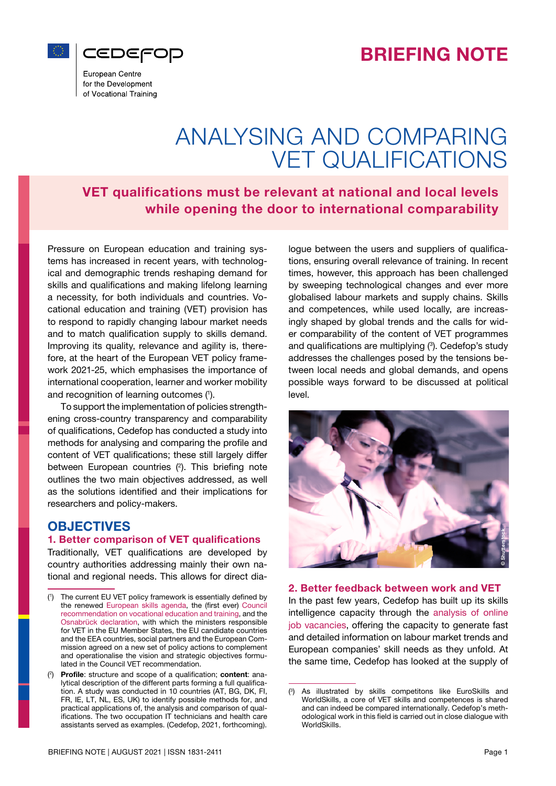



European Centre for the Development of Vocational Training

# ANALYSING AND COMPARING VET QUALIFICATIONS

VET qualifications must be relevant at national and local levels while opening the door to international comparability

Pressure on European education and training systems has increased in recent years, with technological and demographic trends reshaping demand for skills and qualifications and making lifelong learning a necessity, for both individuals and countries. Vocational education and training (VET) provision has to respond to rapidly changing labour market needs and to match qualification supply to skills demand. Improving its quality, relevance and agility is, therefore, at the heart of the European VET policy framework 2021-25, which emphasises the importance of international cooperation, learner and worker mobility and recognition of learning outcomes (1 ).

To support the implementation of policies strengthening cross-country transparency and comparability of qualifications, Cedefop has conducted a study into methods for analysing and comparing the profile and content of VET qualifications; these still largely differ between European countries  $(2)$ . This briefing note outlines the two main objectives addressed, as well as the solutions identified and their implications for researchers and policy-makers.

# **OBJECTIVES**

#### 1. Better comparison of VET qualifications

Traditionally, VET qualifications are developed by country authorities addressing mainly their own national and regional needs. This allows for direct dia-

( 1 The current EU VET policy framework is essentially defined by the renewed [European skills agenda](https://ec.europa.eu/social/main.jsp?catId=1223), the (first ever) [Council](https://eur-lex.europa.eu/legal-content/EN/TXT/PDF/?uri=CELEX:32020H1202(01)) [recommendation on vocational education and training,](https://eur-lex.europa.eu/legal-content/EN/TXT/PDF/?uri=CELEX:32020H1202(01)) and the [Osnabrück declaration](https://www.cedefop.europa.eu/files/osnabrueck_declaration_eu2020.pdf), with which the ministers responsible for VET in the EU Member States, the EU candidate countries and the EEA countries, social partners and the European Commission agreed on a new set of policy actions to complement and operationalise the vision and strategic objectives formulated in the Council VET recommendation. **Example 1.** Better comparison of VET qualifications<br>
Exact thronties addressing mainly their own na-<br>
tional and regional needs. This allows for direct dia-<br>
(1) The current EUVET policy framework is essentially defined

 $(2)$  Profile: structure and scope of a qualification; content: analytical description of the different parts forming a full qualification. A study was conducted in 10 countries (AT, BG, DK, FI, FR, IE, LT, NL, ES, UK) to identify possible methods for, and practical applications of, the analysis and comparison of qualifications. The two occupation IT technicians and health care assistants served as examples. (Cedefop, 2021, forthcoming).

logue between the users and suppliers of qualifications, ensuring overall relevance of training. In recent times, however, this approach has been challenged by sweeping technological changes and ever more globalised labour markets and supply chains. Skills and competences, while used locally, are increasingly shaped by global trends and the calls for wider comparability of the content of VET programmes and qualifications are multiplying (3). Cedefop's study addresses the challenges posed by the tensions between local needs and global demands, and opens possible ways forward to be discussed at political level.



#### 2. Better feedback between work and VET

In the past few years, Cedefop has built up its skills intelligence capacity through the [analysis of online](https://www.cedefop.europa.eu/en/events-and-projects/projects/skills-online-job-advertisements) [job vacancies,](https://www.cedefop.europa.eu/en/events-and-projects/projects/skills-online-job-advertisements) offering the capacity to generate fast and detailed information on labour market trends and European companies' skill needs as they unfold. At the same time, Cedefop has looked at the supply of

<sup>(</sup> 3 ) As illustrated by skills competitons like EuroSkills and WorldSkills, a core of VET skills and competences is shared and can indeed be compared internationally. Cedefop's methodological work in this field is carried out in close dialogue with WorldSkills.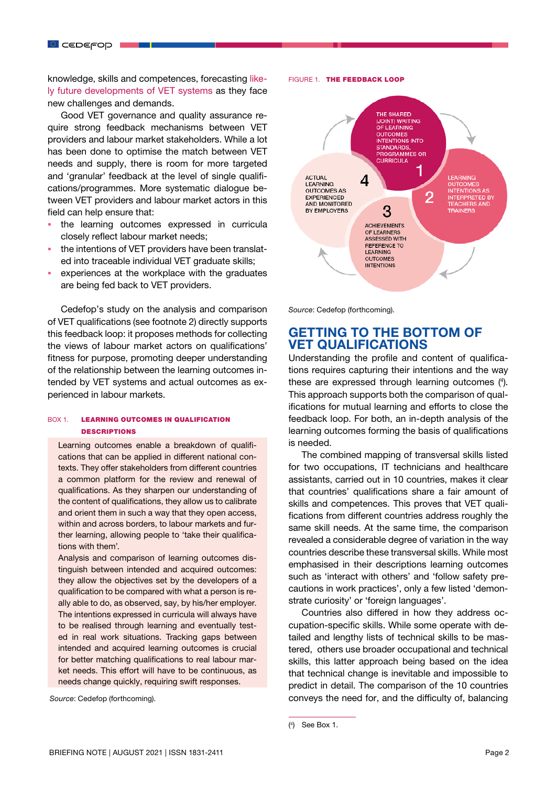knowledge, skills and competences, forecasting [like](https://www.cedefop.europa.eu/en/events-and-projects/projects/future-vet)[ly future developments of VET systems](https://www.cedefop.europa.eu/en/events-and-projects/projects/future-vet) as they face new challenges and demands.

Good VET governance and quality assurance require strong feedback mechanisms between VET providers and labour market stakeholders. While a lot has been done to optimise the match between VET needs and supply, there is room for more targeted and 'granular' feedback at the level of single qualifications/programmes. More systematic dialogue between VET providers and labour market actors in this field can help ensure that:

- . the learning outcomes expressed in curricula closely reflect labour market needs;
- the intentions of VET providers have been translated into traceable individual VET graduate skills;
- experiences at the workplace with the graduates are being fed back to VET providers.

Cedefop's study on the analysis and comparison of VET qualifications (see footnote 2) directly supports this feedback loop: it proposes methods for collecting the views of labour market actors on qualifications' fitness for purpose, promoting deeper understanding of the relationship between the learning outcomes intended by VET systems and actual outcomes as experienced in labour markets.

#### BOX 1. LEARNING OUTCOMES IN QUALIFICATION **DESCRIPTIONS**

Learning outcomes enable a breakdown of qualifications that can be applied in different national contexts. They offer stakeholders from different countries a common platform for the review and renewal of qualifications. As they sharpen our understanding of the content of qualifications, they allow us to calibrate and orient them in such a way that they open access, within and across borders, to labour markets and further learning, allowing people to 'take their qualifications with them'.

Analysis and comparison of learning outcomes distinguish between intended and acquired outcomes: they allow the objectives set by the developers of a qualification to be compared with what a person is really able to do, as observed, say, by his/her employer. The intentions expressed in curricula will always have to be realised through learning and eventually tested in real work situations. Tracking gaps between intended and acquired learning outcomes is crucial for better matching qualifications to real labour market needs. This effort will have to be continuous, as needs change quickly, requiring swift responses.

 *Source*: Cedefop (forthcoming).

FIGURE 1. THE FEEDBACK LOOP



*Source*: Cedefop (forthcoming).

## GETTING TO THE BOTTOM OF VET QUALIFICATIONS

Understanding the profile and content of qualifications requires capturing their intentions and the way these are expressed through learning outcomes (4 ). This approach supports both the comparison of qualifications for mutual learning and efforts to close the feedback loop. For both, an in-depth analysis of the learning outcomes forming the basis of qualifications is needed.

The combined mapping of transversal skills listed for two occupations, IT technicians and healthcare assistants, carried out in 10 countries, makes it clear that countries' qualifications share a fair amount of skills and competences. This proves that VET qualifications from different countries address roughly the same skill needs. At the same time, the comparison revealed a considerable degree of variation in the way countries describe these transversal skills. While most emphasised in their descriptions learning outcomes such as 'interact with others' and 'follow safety precautions in work practices', only a few listed 'demonstrate curiosity' or 'foreign languages'.

Countries also differed in how they address occupation-specific skills. While some operate with detailed and lengthy lists of technical skills to be mastered, others use broader occupational and technical skills, this latter approach being based on the idea that technical change is inevitable and impossible to predict in detail. The comparison of the 10 countries conveys the need for, and the difficulty of, balancing

<sup>(</sup> 4 ) See Box 1.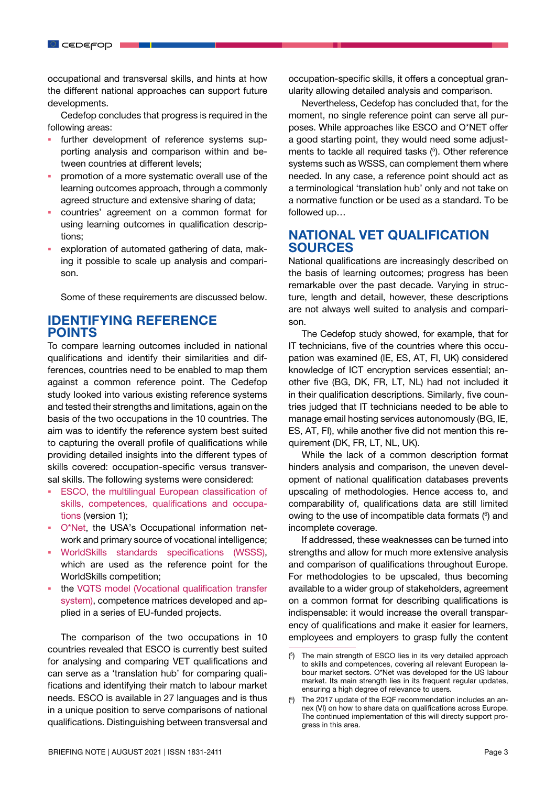occupational and transversal skills, and hints at how the different national approaches can support future developments.

Cedefop concludes that progress is required in the following areas:

- further development of reference systems supporting analysis and comparison within and between countries at different levels;
- promotion of a more systematic overall use of the learning outcomes approach, through a commonly agreed structure and extensive sharing of data;
- countries' agreement on a common format for using learning outcomes in qualification descriptions;
- exploration of automated gathering of data, making it possible to scale up analysis and comparison.

Some of these requirements are discussed below.

## IDENTIFYING REFERENCE POINTS

To compare learning outcomes included in national qualifications and identify their similarities and differences, countries need to be enabled to map them against a common reference point. The Cedefop study looked into various existing reference systems and tested their strengths and limitations, again on the basis of the two occupations in the 10 countries. The aim was to identify the reference system best suited to capturing the overall profile of qualifications while providing detailed insights into the different types of skills covered: occupation-specific versus transversal skills. The following systems were considered:

- [ESCO, the multilingual European classification of](https://ec.europa.eu/esco/portal/home?resetLanguage=true&newLanguage=en) [skills, competences, qualifications and occupa](https://ec.europa.eu/esco/portal/home?resetLanguage=true&newLanguage=en)[tions](https://ec.europa.eu/esco/portal/home?resetLanguage=true&newLanguage=en) (version 1);
- [O\\*Net,](https://www.onetonline.org/) the USA's Occupational information network and primary source of vocational intelligence;
- [WorldSkills standards specifications \(WSSS\),](https://worldskills.org/what/projects/wsos/) which are used as the reference point for the WorldSkills competition;
- the [VQTS model \(Vocational qualification transfer](https://vocationalqualification.net/) [system\)](https://vocationalqualification.net/), competence matrices developed and applied in a series of EU-funded projects.

The comparison of the two occupations in 10 countries revealed that ESCO is currently best suited for analysing and comparing VET qualifications and can serve as a 'translation hub' for comparing qualifications and identifying their match to labour market needs. ESCO is available in 27 languages and is thus in a unique position to serve comparisons of national qualifications. Distinguishing between transversal and

occupation-specific skills, it offers a conceptual granularity allowing detailed analysis and comparison.

Nevertheless, Cedefop has concluded that, for the moment, no single reference point can serve all purposes. While approaches like ESCO and O\*NET offer a good starting point, they would need some adjustments to tackle all required tasks  $(5)$ . Other reference systems such as WSSS, can complement them where needed. In any case, a reference point should act as a terminological 'translation hub' only and not take on a normative function or be used as a standard. To be followed up…

## NATIONAL VET QUALIFICATION SOURCES

National qualifications are increasingly described on the basis of learning outcomes; progress has been remarkable over the past decade. Varying in structure, length and detail, however, these descriptions are not always well suited to analysis and comparison.

The Cedefop study showed, for example, that for IT technicians, five of the countries where this occupation was examined (IE, ES, AT, FI, UK) considered knowledge of ICT encryption services essential; another five (BG, DK, FR, LT, NL) had not included it in their qualification descriptions. Similarly, five countries judged that IT technicians needed to be able to manage email hosting services autonomously (BG, IE, ES, AT, FI), while another five did not mention this requirement (DK, FR, LT, NL, UK).

While the lack of a common description format hinders analysis and comparison, the uneven development of national qualification databases prevents upscaling of methodologies. Hence access to, and comparability of, qualifications data are still limited owing to the use of incompatible data formats (<sup>6</sup>) and incomplete coverage.

If addressed, these weaknesses can be turned into strengths and allow for much more extensive analysis and comparison of qualifications throughout Europe. For methodologies to be upscaled, thus becoming available to a wider group of stakeholders, agreement on a common format for describing qualifications is indispensable: it would increase the overall transparency of qualifications and make it easier for learners, employees and employers to grasp fully the content

<sup>(</sup> 5 ) The main strength of ESCO lies in its very detailed approach to skills and competences, covering all relevant European labour market sectors. O\*Net was developed for the US labour market. Its main strength lies in its frequent regular updates, ensuring a high degree of relevance to users.

<sup>(</sup> 6 ) The 2017 update of the EQF recommendation includes an annex (VI) on how to share data on qualifications across Europe. The continued implementation of this will directy support progress in this area.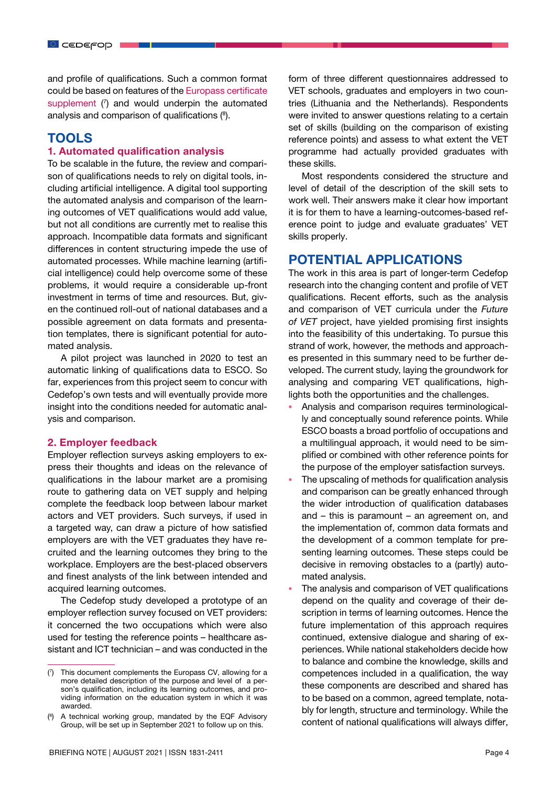and profile of qualifications. Such a common format could be based on features of the [Europass certificate](https://europa.eu/europass/en/europass-certificate-supplement) [supplement](https://europa.eu/europass/en/europass-certificate-supplement)  $(7)$  and would underpin the automated analysis and comparison of qualifications  $(8)$ .

# TOOLS

#### 1. Automated qualification analysis

To be scalable in the future, the review and comparison of qualifications needs to rely on digital tools, including artificial intelligence. A digital tool supporting the automated analysis and comparison of the learning outcomes of VET qualifications would add value, but not all conditions are currently met to realise this approach. Incompatible data formats and significant differences in content structuring impede the use of automated processes. While machine learning (artificial intelligence) could help overcome some of these problems, it would require a considerable up-front investment in terms of time and resources. But, given the continued roll-out of national databases and a possible agreement on data formats and presentation templates, there is significant potential for automated analysis.

A pilot project was launched in 2020 to test an automatic linking of qualifications data to ESCO. So far, experiences from this project seem to concur with Cedefop's own tests and will eventually provide more insight into the conditions needed for automatic analysis and comparison.

#### 2. Employer feedback

Employer reflection surveys asking employers to express their thoughts and ideas on the relevance of qualifications in the labour market are a promising route to gathering data on VET supply and helping complete the feedback loop between labour market actors and VET providers. Such surveys, if used in a targeted way, can draw a picture of how satisfied employers are with the VET graduates they have recruited and the learning outcomes they bring to the workplace. Employers are the best-placed observers and finest analysts of the link between intended and acquired learning outcomes.

The Cedefop study developed a prototype of an employer reflection survey focused on VET providers: it concerned the two occupations which were also used for testing the reference points – healthcare assistant and ICT technician – and was conducted in the form of three different questionnaires addressed to VET schools, graduates and employers in two countries (Lithuania and the Netherlands). Respondents were invited to answer questions relating to a certain set of skills (building on the comparison of existing reference points) and assess to what extent the VET programme had actually provided graduates with these skills.

Most respondents considered the structure and level of detail of the description of the skill sets to work well. Their answers make it clear how important it is for them to have a learning-outcomes-based reference point to judge and evaluate graduates' VET skills properly.

### POTENTIAL APPLICATIONS

The work in this area is part of longer-term Cedefop research into the changing content and profile of VET qualifications. Recent efforts, such as the analysis and comparison of VET curricula under the *Future of VET* project, have yielded promising first insights into the feasibility of this undertaking. To pursue this strand of work, however, the methods and approaches presented in this summary need to be further developed. The current study, laying the groundwork for analysing and comparing VET qualifications, highlights both the opportunities and the challenges.

- Analysis and comparison requires terminologically and conceptually sound reference points. While ESCO boasts a broad portfolio of occupations and a multilingual approach, it would need to be simplified or combined with other reference points for the purpose of the employer satisfaction surveys.
- The upscaling of methods for qualification analysis and comparison can be greatly enhanced through the wider introduction of qualification databases and – this is paramount – an agreement on, and the implementation of, common data formats and the development of a common template for presenting learning outcomes. These steps could be decisive in removing obstacles to a (partly) automated analysis.
- The analysis and comparison of VET qualifications depend on the quality and coverage of their description in terms of learning outcomes. Hence the future implementation of this approach requires continued, extensive dialogue and sharing of experiences. While national stakeholders decide how to balance and combine the knowledge, skills and competences included in a qualification, the way these components are described and shared has to be based on a common, agreed template, notably for length, structure and terminology. While the content of national qualifications will always differ,

<sup>(</sup> 7 ) This document complements the Europass CV, allowing for a more detailed description of the purpose and level of a person's qualification, including its learning outcomes, and providing information on the education system in which it was awarded.

<sup>(</sup> 8 ) A technical working group, mandated by the EQF Advisory Group, will be set up in September 2021 to follow up on this.